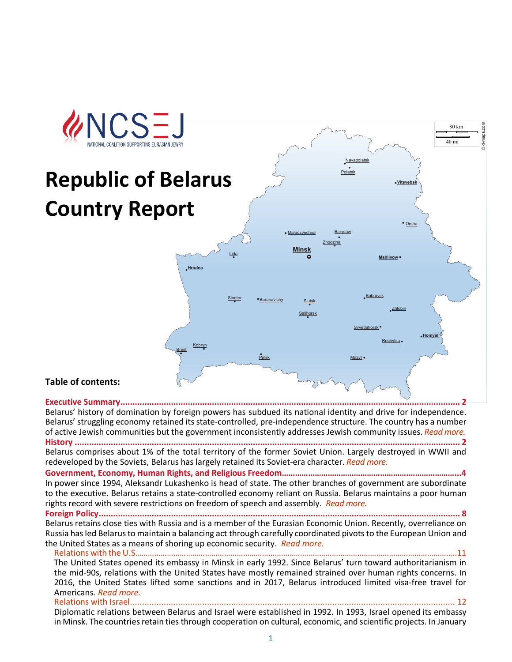

# **Republic of Belarus Country Report**



©d-maps.com

80 km 40 mi

# **Table of contents:**

**[Executive Summary.............................................................................................................................................](#page-1-0) 2** Belarus' history of domination by foreign powers has subdued its national identity and drive for independence. Belarus' struggling economy retained itsstate-controlled, pre-independence structure. The country has a number of active Jewish communities but the government inconsistently addresses Jewish community issues. *[Read more.](#page-1-0)* **History [................................................................................................................................................................](#page-2-0) 2**

Belarus comprises about 1% of the total territory of the former Soviet Union. Largely destroyed in WWII and redeveloped by the Soviets, Belarus has largely retained its Soviet-era character. *[Read more.](#page-2-0)*

**Government, Economy, Human Rights, and Religious Freedom………………………………………………….…………………...4** In power since 1994, Aleksandr Lukashenko is head of state. The other branches of government are subordinate to the executive. Belarus retains a state-controlled economy reliant on Russia. Belarus maintains a poor human rights record with severe restrictions on freedom of speech and assembly. *[Read more.](#page-3-0)*

**[Foreign Policy......................................................................................................................................................](#page-6-0) 8** Belarus retains close ties with Russia and is a member of the Eurasian Economic Union. Recently, overreliance on Russia has led Belarus to maintain a balancing act through carefully coordinated pivots to the European Union and the United States as a means of shoring up economic security. *[Read more.](#page-6-0)*

[Relations with the U.S……………………………………………………………………………………………………………………………………..11](#page-7-0)

The United States opened its embassy in Minsk in early 1992. Since Belarus' turn toward authoritarianism in the mid-90s, relations with the United States have mostly remained strained over human rights concerns. In 2016, the United States lifted some sanctions and in 2017, Belarus introduced limited visa-free travel for Americans. *[Read more.](#page-7-0)*

Relations with Israel.........

Diplomatic relations between Belarus and Israel were established in 1992. In 1993, Israel opened its embassy in Minsk. The countries retain ties through cooperation on cultural, economic, and scientific projects. In January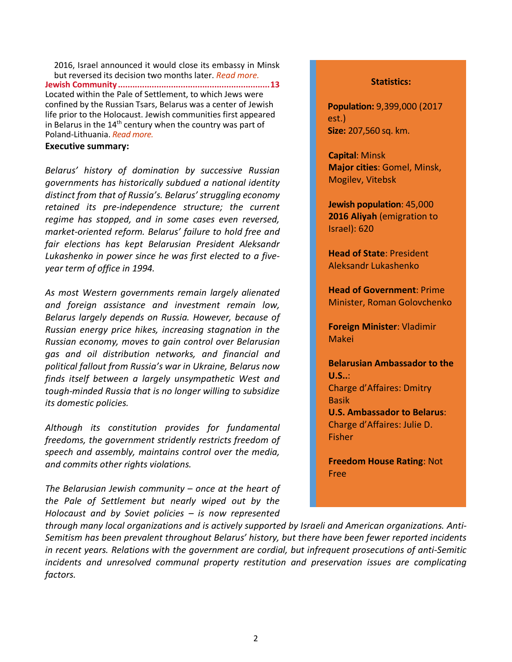2016, Israel announced it would close its embassy in Minsk but reversed its decision two months later. *[Read more.](#page-8-0)* **[Jewish Community...............................................................13](#page-9-0)** Located within the Pale of Settlement, to which Jews were confined by the Russian Tsars, Belarus was a center of Jewish life prior to the Holocaust. Jewish communities first appeared in Belarus in the  $14<sup>th</sup>$  century when the country was part of Poland-Lithuania. *[Read more.](#page-9-0)*

#### <span id="page-1-0"></span>**Executive summary:**

*Belarus' history of domination by successive Russian governments has historically subdued a national identity distinct from that of Russia's. Belarus' struggling economy retained its pre-independence structure; the current regime has stopped, and in some cases even reversed, market-oriented reform. Belarus' failure to hold free and fair elections has kept Belarusian President Aleksandr Lukashenko in power since he was first elected to a fiveyear term of office in 1994.* 

*As most Western governments remain largely alienated and foreign assistance and investment remain low, Belarus largely depends on Russia. However, because of Russian energy price hikes, increasing stagnation in the Russian economy, moves to gain control over Belarusian gas and oil distribution networks, and financial and political fallout from Russia's war in Ukraine, Belarus now finds itself between a largely unsympathetic West and tough-minded Russia that is no longer willing to subsidize its domestic policies.*

*Although its constitution provides for fundamental freedoms, the government stridently restricts freedom of speech and assembly, maintains control over the media, and commits other rights violations.*

*The Belarusian Jewish community – once at the heart of the Pale of Settlement but nearly wiped out by the Holocaust and by Soviet policies – is now represented* 

#### **Statistics:**

**Population:** 9,399,000 (2017 est.) **Size:** 207,560 sq. km.

**Capital**: Minsk **Major cities**: Gomel, Minsk, Mogilev, Vitebsk

**Jewish population**: 45,000 **2016 Aliyah** (emigration to Israel): 620

**Head of State**: President Aleksandr Lukashenko

**Head of Government**: Prime Minister, Roman Golovchenko

**Foreign Minister**: Vladimir Makei

**Belarusian Ambassador to the U.S..**: Charge d'Affaires: Dmitry Basik **U.S. Ambassador to Belarus**: Charge d'Affaires: Julie D. Fisher

**Freedom House Rating**: Not Free

*through many local organizations and is actively supported by Israeli and American organizations. Anti-Semitism has been prevalent throughout Belarus' history, but there have been fewer reported incidents in recent years. Relations with the government are cordial, but infrequent prosecutions of anti-Semitic incidents and unresolved communal property restitution and preservation issues are complicating factors.*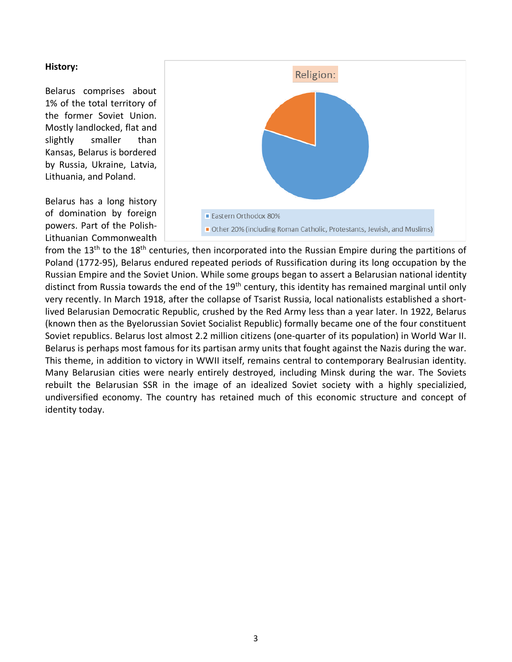#### <span id="page-2-0"></span>**History:**

Belarus comprises about 1% of the total territory of the former Soviet Union. Mostly landlocked, flat and slightly smaller than Kansas, Belarus is bordered by Russia, Ukraine, Latvia, Lithuania, and Poland.

Belarus has a long history of domination by foreign powers. Part of the Polish-Lithuanian Commonwealth



from the 13<sup>th</sup> to the 18<sup>th</sup> centuries, then incorporated into the Russian Empire during the partitions of Poland (1772-95), Belarus endured repeated periods of Russification during its long occupation by the Russian Empire and the Soviet Union. While some groups began to assert a Belarusian national identity distinct from Russia towards the end of the 19<sup>th</sup> century, this identity has remained marginal until only very recently. In March 1918, after the collapse of Tsarist Russia, local nationalists established a shortlived Belarusian Democratic Republic, crushed by the Red Army less than a year later. In 1922, Belarus (known then as the Byelorussian Soviet Socialist Republic) formally became one of the four constituent Soviet republics. Belarus lost almost 2.2 million citizens (one-quarter of its population) in World War II. Belarus is perhaps most famous for its partisan army units that fought against the Nazis during the war. This theme, in addition to victory in WWII itself, remains central to contemporary Bealrusian identity. Many Belarusian cities were nearly entirely destroyed, including Minsk during the war. The Soviets rebuilt the Belarusian SSR in the image of an idealized Soviet society with a highly specializied, undiversified economy. The country has retained much of this economic structure and concept of identity today.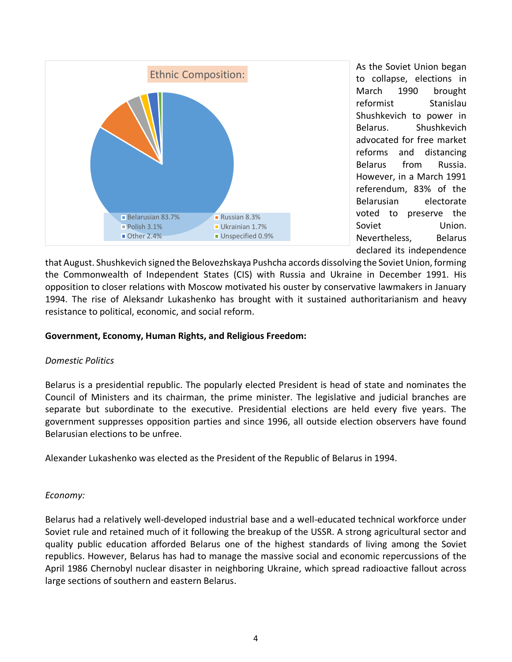

As the Soviet Union began to collapse, elections in March 1990 brought reformist Stanislau Shushkevich to power in Belarus. Shushkevich advocated for free market reforms and distancing Belarus from Russia. However, in a March 1991 referendum, 83% of the Belarusian electorate voted to preserve the Soviet Union. Nevertheless, Belarus declared its independence

that August. Shushkevich signed the Belovezhskaya Pushcha accords dissolving the Soviet Union, forming the Commonwealth of Independent States (CIS) with Russia and Ukraine in December 1991. His opposition to closer relations with Moscow motivated his ouster by conservative lawmakers in January 1994. The rise of Aleksandr Lukashenko has brought with it sustained authoritarianism and heavy resistance to political, economic, and social reform.

# <span id="page-3-0"></span>**Government, Economy, Human Rights, and Religious Freedom:**

# *Domestic Politics*

Belarus is a presidential republic. The popularly elected President is head of state and nominates the Council of Ministers and its chairman, the prime minister. The legislative and judicial branches are separate but subordinate to the executive. Presidential elections are held every five years. The government suppresses opposition parties and since 1996, all outside election observers have found Belarusian elections to be unfree.

Alexander Lukashenko was elected as the President of the Republic of Belarus in 1994.

# *Economy:*

Belarus had a relatively well-developed industrial base and a well-educated technical workforce under Soviet rule and retained much of it following the breakup of the USSR. A strong agricultural sector and quality public education afforded Belarus one of the highest standards of living among the Soviet republics. However, Belarus has had to manage the massive social and economic repercussions of the April 1986 Chernobyl nuclear disaster in neighboring Ukraine, which spread radioactive fallout across large sections of southern and eastern Belarus.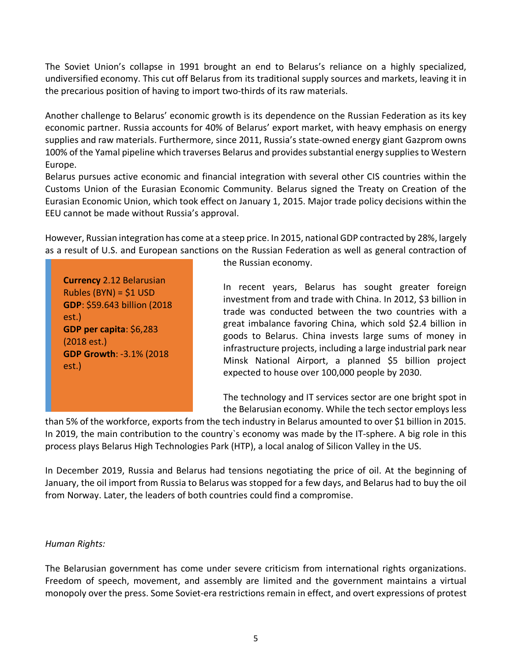The Soviet Union's collapse in 1991 brought an end to Belarus's reliance on a highly specialized, undiversified economy. This cut off Belarus from its traditional supply sources and markets, leaving it in the precarious position of having to import two-thirds of its raw materials.

Another challenge to Belarus' economic growth is its dependence on the Russian Federation as its key economic partner. Russia accounts for 40% of Belarus' export market, with heavy emphasis on energy supplies and raw materials. Furthermore, since 2011, Russia's state-owned energy giant Gazprom owns 100% of the Yamal pipeline which traverses Belarus and provides substantial energy supplies to Western Europe.

Belarus pursues active economic and financial integration with several other CIS countries within the Customs Union of the Eurasian Economic Community. Belarus signed the Treaty on Creation of the Eurasian Economic Union, which took effect on January 1, 2015. Major trade policy decisions within the EEU cannot be made without Russia's approval.

However, Russian integration has come at a steep price. In 2015, national GDP contracted by 28%, largely as a result of U.S. and European sanctions on the Russian Federation as well as general contraction of

**Currency** 2.12 Belarusian Rubles (BYN) = \$1 USD **GDP**: \$59.643 billion (2018 est.) **GDP per capita**: \$6,283 (2018 est.) **GDP Growth**: -3.1% (2018 est.)

the Russian economy.

In recent years, Belarus has sought greater foreign investment from and trade with China. In 2012, \$3 billion in trade was conducted between the two countries with a great imbalance favoring China, which sold \$2.4 billion in goods to Belarus. China invests large sums of money in infrastructure projects, including a large industrial park near Minsk National Airport, a planned \$5 billion project expected to house over 100,000 people by 2030.

The technology and IT services sector are one bright spot in the Belarusian economy. While the tech sector employs less

than 5% of the workforce, exports from the tech industry in Belarus amounted to over \$1 billion in 2015. In 2019, the main contribution to the country`s economy was made by the IT-sphere. A big role in this process plays Belarus High Technologies Park (HTP), a local analog of Silicon Valley in the US.

In December 2019, Russia and Belarus had tensions negotiating the price of oil. At the beginning of January, the oil import from Russia to Belarus was stopped for a few days, and Belarus had to buy the oil from Norway. Later, the leaders of both countries could find a compromise.

# *Human Rights:*

The Belarusian government has come under severe criticism from international rights organizations. Freedom of speech, movement, and assembly are limited and the government maintains a virtual monopoly over the press. Some Soviet-era restrictions remain in effect, and overt expressions of protest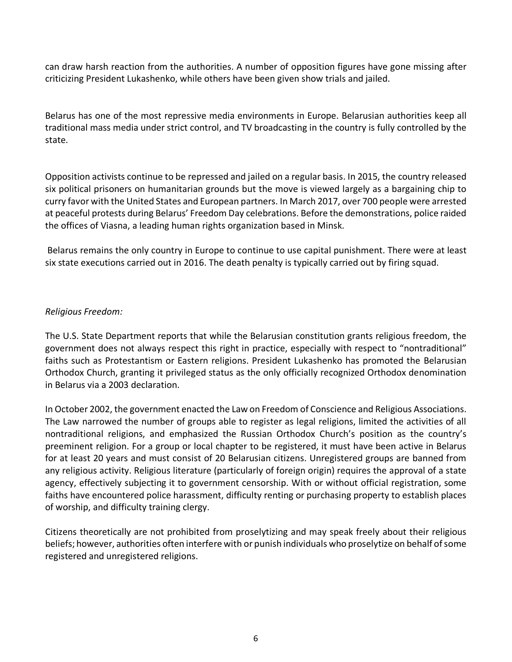can draw harsh reaction from the authorities. A number of opposition figures have gone missing after criticizing President Lukashenko, while others have been given show trials and jailed.

Belarus has one of the most repressive media environments in Europe. Belarusian authorities keep all traditional mass media under strict control, and TV broadcasting in the country is fully controlled by the state.

Opposition activists continue to be repressed and jailed on a regular basis. In 2015, the country released six political prisoners on humanitarian grounds but the move is viewed largely as a bargaining chip to curry favor with the United States and European partners. In March 2017, over 700 people were arrested at peaceful protests during Belarus' Freedom Day celebrations. Before the demonstrations, police raided the offices of Viasna, a leading human rights organization based in Minsk.

Belarus remains the only country in Europe to continue to use capital punishment. There were at least six state executions carried out in 2016. The death penalty is typically carried out by firing squad.

# *Religious Freedom:*

The U.S. State Department reports that while the Belarusian constitution grants religious freedom, the government does not always respect this right in practice, especially with respect to "nontraditional" faiths such as Protestantism or Eastern religions. President Lukashenko has promoted the Belarusian Orthodox Church, granting it privileged status as the only officially recognized Orthodox denomination in Belarus via a 2003 declaration.

In October 2002, the government enacted the Law on Freedom of Conscience and Religious Associations. The Law narrowed the number of groups able to register as legal religions, limited the activities of all nontraditional religions, and emphasized the Russian Orthodox Church's position as the country's preeminent religion. For a group or local chapter to be registered, it must have been active in Belarus for at least 20 years and must consist of 20 Belarusian citizens. Unregistered groups are banned from any religious activity. Religious literature (particularly of foreign origin) requires the approval of a state agency, effectively subjecting it to government censorship. With or without official registration, some faiths have encountered police harassment, difficulty renting or purchasing property to establish places of worship, and difficulty training clergy.

Citizens theoretically are not prohibited from proselytizing and may speak freely about their religious beliefs; however, authorities often interfere with or punish individuals who proselytize on behalf of some registered and unregistered religions.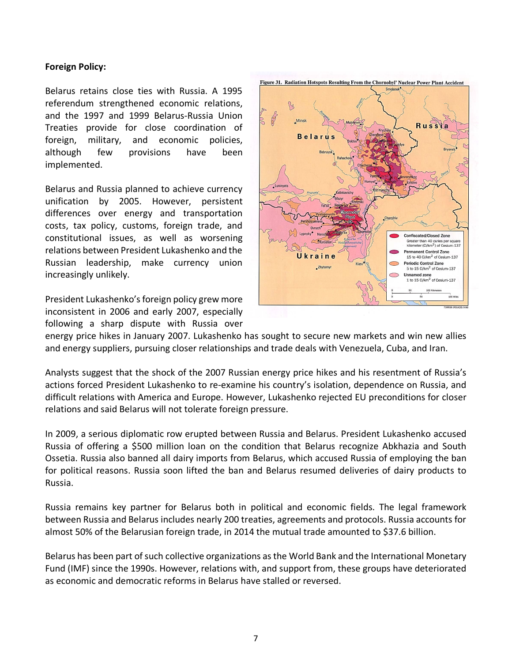# <span id="page-6-0"></span>**Foreign Policy:**

Belarus retains close ties with Russia. A 1995 referendum strengthened economic relations, and the 1997 and 1999 Belarus-Russia Union Treaties provide for close coordination of foreign, military, and economic policies, although few provisions have been implemented.

Belarus and Russia planned to achieve currency unification by 2005. However, persistent differences over energy and transportation costs, tax policy, customs, foreign trade, and constitutional issues, as well as worsening relations between President Lukashenko and the Russian leadership, make currency union increasingly unlikely.

President Lukashenko's foreign policy grew more inconsistent in 2006 and early 2007, especially following a sharp dispute with Russia over



energy price hikes in January 2007. Lukashenko has sought to secure new markets and win new allies and energy suppliers, pursuing closer relationships and trade deals with Venezuela, Cuba, and Iran.

Analysts suggest that the shock of the 2007 Russian energy price hikes and his resentment of Russia's actions forced President Lukashenko to re-examine his country's isolation, dependence on Russia, and difficult relations with America and Europe. However, Lukashenko rejected EU preconditions for closer relations and said Belarus will not tolerate foreign pressure.

In 2009, a serious diplomatic row erupted between Russia and Belarus. President Lukashenko accused Russia of offering a \$500 million loan on the condition that Belarus recognize [Abkhazia](http://en.wikipedia.org/wiki/Abkhazia) and [South](http://en.wikipedia.org/wiki/South_Ossetia)  [Ossetia.](http://en.wikipedia.org/wiki/South_Ossetia) Russia also banned all dairy imports from Belarus, which accused Russia of employing the ban for political reasons. Russia soon lifted the ban and Belarus resumed deliveries of dairy products to Russia.

Russia remains key partner for Belarus both in political and economic fields. The legal framework between Russia and Belarus includes nearly 200 treaties, agreements and protocols. Russia accounts for almost 50% of the Belarusian foreign trade, in 2014 the mutual trade amounted to \$37.6 billion.

Belarus has been part of such collective organizations as the World Bank and the International Monetary Fund (IMF) since the 1990s. However, relations with, and support from, these groups have deteriorated as economic and democratic reforms in Belarus have stalled or reversed.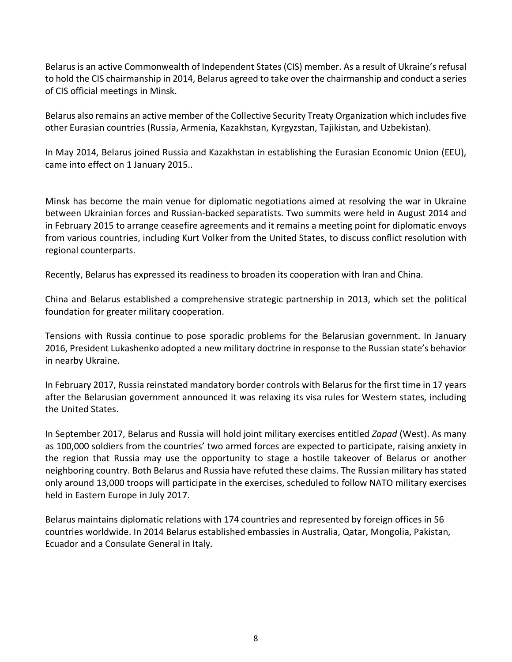Belarus is an active Commonwealth of Independent States (CIS) member. As a result of Ukraine's refusal to hold the CIS chairmanship in 2014, Belarus agreed to take over the chairmanship and conduct a series of CIS official meetings in Minsk.

Belarus also remains an active member of the Collective Security Treaty Organization which includes five other Eurasian countries (Russia, Armenia, Kazakhstan, Kyrgyzstan, Tajikistan, and Uzbekistan).

In May 2014, Belarus joined Russia and Kazakhstan in establishing the Eurasian Economic Union (EEU), came into effect on 1 January 2015..

Minsk has become the main venue for diplomatic negotiations aimed at resolving the war in Ukraine between Ukrainian forces and Russian-backed separatists. Two summits were held in August 2014 and in February 2015 to arrange ceasefire agreements and it remains a meeting point for diplomatic envoys from various countries, including Kurt Volker from the United States, to discuss conflict resolution with regional counterparts.

Recently, Belarus has expressed its readiness to broaden its cooperation with Iran and China.

China and Belarus established a comprehensive strategic partnership in 2013, which set the political foundation for greater military cooperation.

Tensions with Russia continue to pose sporadic problems for the Belarusian government. In January 2016, President Lukashenko adopted a new military doctrine in response to the Russian state's behavior in nearby Ukraine.

In February 2017, Russia reinstated mandatory border controls with Belarus for the first time in 17 years after the Belarusian government announced it was relaxing its visa rules for Western states, including the United States.

In September 2017, Belarus and Russia will hold joint military exercises entitled *Zapad* (West). As many as 100,000 soldiers from the countries' two armed forces are expected to participate, raising anxiety in the region that Russia may use the opportunity to stage a hostile takeover of Belarus or another neighboring country. Both Belarus and Russia have refuted these claims. The Russian military has stated only around 13,000 troops will participate in the exercises, scheduled to follow NATO military exercises held in Eastern Europe in July 2017.

<span id="page-7-0"></span>Belarus maintains diplomatic relations with 174 countries and represented by foreign offices in 56 countries worldwide. In 2014 Belarus established embassies in Australia, Qatar, Mongolia, Pakistan, Ecuador and a Consulate General in Italy.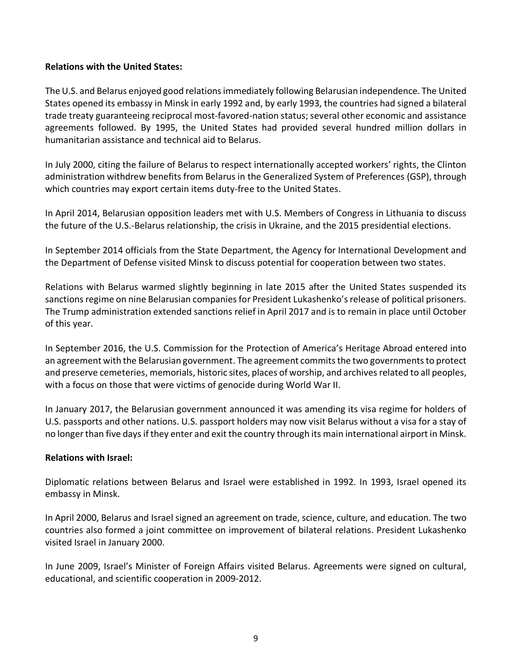# **Relations with the United States:**

The U.S. and Belarus enjoyed good relations immediately following Belarusian independence. The United States opened its embassy in Minsk in early 1992 and, by early 1993, the countries had signed a bilateral trade treaty guaranteeing reciprocal most-favored-nation status; several other economic and assistance agreements followed. By 1995, the United States had provided several hundred million dollars in humanitarian assistance and technical aid to Belarus.

In July 2000, citing the failure of Belarus to respect internationally accepted workers' rights, the Clinton administration withdrew benefits from Belarus in the Generalized System of Preferences (GSP), through which countries may export certain items duty-free to the United States.

In April 2014, Belarusian opposition leaders met with U.S. Members of Congress in Lithuania to discuss the future of the U.S.-Belarus relationship, the crisis in Ukraine, and the 2015 presidential elections.

In September 2014 officials from the State Department, the Agency for International Development and the Department of Defense visited Minsk to discuss potential for cooperation between two states.

Relations with Belarus warmed slightly beginning in late 2015 after the United States suspended its sanctions regime on nine Belarusian companies for President Lukashenko's release of political prisoners. The Trump administration extended sanctions relief in April 2017 and is to remain in place until October of this year.

In September 2016, the U.S. Commission for the Protection of America's Heritage Abroad entered into an agreement with the Belarusian government. The agreement commits the two governments to protect and preserve cemeteries, memorials, historic sites, places of worship, and archives related to all peoples, with a focus on those that were victims of genocide during World War II.

In January 2017, the Belarusian government announced it was amending its visa regime for holders of U.S. passports and other nations. U.S. passport holders may now visit Belarus without a visa for a stay of no longer than five days if they enter and exit the country through its main international airport in Minsk.

# <span id="page-8-0"></span>**Relations with Israel:**

Diplomatic relations between Belarus and Israel were established in 1992. In 1993, Israel opened its embassy in Minsk.

In April 2000, Belarus and Israel signed an agreement on trade, science, culture, and education. The two countries also formed a joint committee on improvement of bilateral relations. President Lukashenko visited Israel in January 2000.

In June 2009, Israel's Minister of Foreign Affairs visited Belarus. Agreements were signed on cultural, educational, and scientific cooperation in 2009-2012.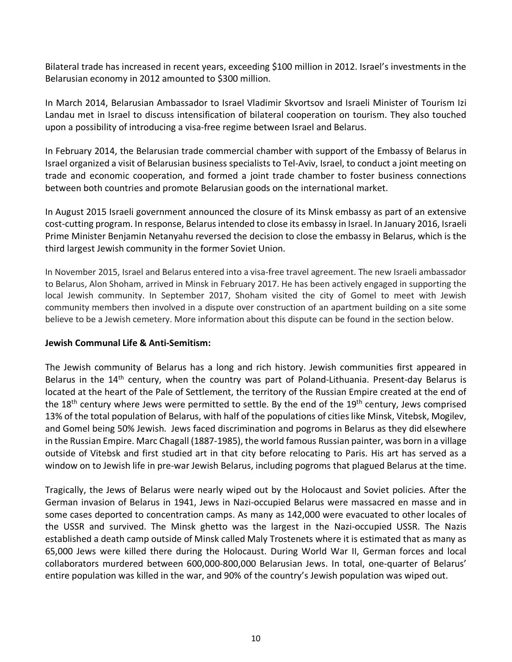Bilateral trade has increased in recent years, exceeding \$100 million in 2012. Israel's investments in the Belarusian economy in 2012 amounted to \$300 million.

In March 2014, Belarusian Ambassador to Israel Vladimir Skvortsov and Israeli Minister of Tourism Izi Landau met in Israel to discuss intensification of bilateral cooperation on tourism. They also touched upon a possibility of introducing a visa-free regime between Israel and Belarus.

In February 2014, the Belarusian trade commercial chamber with support of the Embassy of Belarus in Israel organized a visit of Belarusian business specialists to Tel-Aviv, Israel, to conduct a joint meeting on trade and economic cooperation, and formed a joint trade chamber to foster business connections between both countries and promote Belarusian goods on the international market.

In August 2015 Israeli government announced the closure of its Minsk embassy as part of an extensive cost-cutting program. In response, Belarus intended to close its embassy in Israel. In January 2016, Israeli Prime Minister Benjamin Netanyahu reversed the decision to close the embassy in Belarus, which is the third largest Jewish community in the former Soviet Union.

In November 2015, Israel and Belarus entered into a visa-free travel agreement. The new Israeli ambassador to Belarus, Alon Shoham, arrived in Minsk in February 2017. He has been actively engaged in supporting the local Jewish community. In September 2017, Shoham visited the city of Gomel to meet with Jewish community members then involved in a dispute over construction of an apartment building on a site some believe to be a Jewish cemetery. More information about this dispute can be found in the section below.

# <span id="page-9-0"></span>**Jewish Communal Life & Anti-Semitism:**

The Jewish community of Belarus has a long and rich history. Jewish communities first appeared in Belarus in the 14<sup>th</sup> century, when the country was part of Poland-Lithuania. Present-day Belarus is located at the heart of the Pale of Settlement, the territory of the Russian Empire created at the end of the 18<sup>th</sup> century where Jews were permitted to settle. By the end of the 19<sup>th</sup> century, Jews comprised 13% of the total population of Belarus, with half of the populations of cities like Minsk, Vitebsk, Mogilev, and Gomel being 50% Jewish. Jews faced discrimination and pogroms in Belarus as they did elsewhere in the Russian Empire. Marc Chagall (1887-1985), the world famous Russian painter, was born in a village outside of Vitebsk and first studied art in that city before relocating to Paris. His art has served as a window on to Jewish life in pre-war Jewish Belarus, including pogroms that plagued Belarus at the time.

Tragically, the Jews of Belarus were nearly wiped out by the Holocaust and Soviet policies. After the German invasion of Belarus in 1941, Jews in Nazi-occupied Belarus were massacred en masse and in some cases deported to concentration camps. As many as 142,000 were evacuated to other locales of the USSR and survived. The Minsk ghetto was the largest in the Nazi-occupied USSR. The Nazis established a death camp outside of Minsk called Maly Trostenets where it is estimated that as many as 65,000 Jews were killed there during the Holocaust. During World War II, German forces and local collaborators murdered between 600,000-800,000 Belarusian Jews. In total, one-quarter of Belarus' entire population was killed in the war, and 90% of the country's Jewish population was wiped out.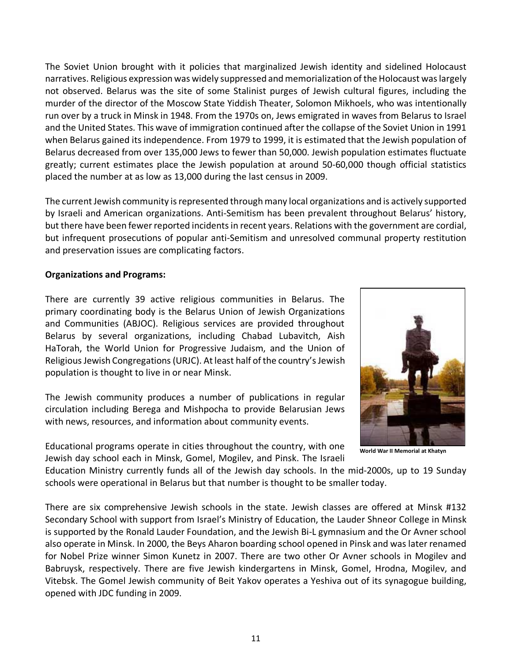The Soviet Union brought with it policies that marginalized Jewish identity and sidelined Holocaust narratives. Religious expression was widely suppressed and memorialization of the Holocaust was largely not observed. Belarus was the site of some Stalinist purges of Jewish cultural figures, including the murder of the director of the Moscow State Yiddish Theater, Solomon Mikhoels, who was intentionally run over by a truck in Minsk in 1948. From the 1970s on, Jews emigrated in waves from Belarus to Israel and the United States. This wave of immigration continued after the collapse of the Soviet Union in 1991 when Belarus gained its independence. From 1979 to 1999, it is estimated that the Jewish population of Belarus decreased from over 135,000 Jews to fewer than 50,000. Jewish population estimates fluctuate greatly; current estimates place the Jewish population at around 50-60,000 though official statistics placed the number at as low as 13,000 during the last census in 2009.

The current Jewish community is represented through many local organizations and is actively supported by Israeli and American organizations. Anti-Semitism has been prevalent throughout Belarus' history, but there have been fewer reported incidents in recent years. Relations with the government are cordial, but infrequent prosecutions of popular anti-Semitism and unresolved communal property restitution and preservation issues are complicating factors.

# **Organizations and Programs:**

There are currently 39 active religious communities in Belarus. The primary coordinating body is the Belarus Union of Jewish Organizations and Communities (ABJOC). Religious services are provided throughout Belarus by several organizations, including Chabad Lubavitch, Aish HaTorah, the World Union for Progressive Judaism, and the Union of Religious Jewish Congregations (URJC). At least half of the country's Jewish population is thought to live in or near Minsk.

The Jewish community produces a number of publications in regular circulation including Berega and Mishpocha to provide Belarusian Jews with news, resources, and information about community events.

Educational programs operate in cities throughout the country, with one Jewish day school each in Minsk, Gomel, Mogilev, and Pinsk. The Israeli



**World War II Memorial at Khatyn**

Education Ministry currently funds all of the Jewish day schools. In the mid-2000s, up to 19 Sunday schools were operational in Belarus but that number is thought to be smaller today.

There are six comprehensive Jewish schools in the state. Jewish classes are offered at Minsk #132 Secondary School with support from Israel's Ministry of Education, the Lauder Shneor College in Minsk is supported by the Ronald Lauder Foundation, and the Jewish Bi-L gymnasium and the Or Avner school also operate in Minsk. In 2000, the Beys Aharon boarding school opened in Pinsk and was later renamed for Nobel Prize winner Simon Kunetz in 2007. There are two other Or Avner schools in Mogilev and Babruysk, respectively. There are five Jewish kindergartens in Minsk, Gomel, Hrodna, Mogilev, and Vitebsk. The Gomel Jewish community of Beit Yakov operates a Yeshiva out of its synagogue building, opened with JDC funding in 2009.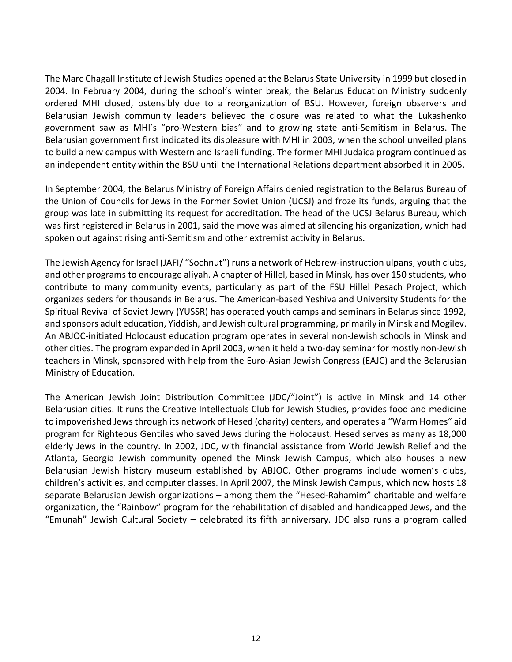The Marc Chagall Institute of Jewish Studies opened at the Belarus State University in 1999 but closed in 2004. In February 2004, during the school's winter break, the Belarus Education Ministry suddenly ordered MHI closed, ostensibly due to a reorganization of BSU. However, foreign observers and Belarusian Jewish community leaders believed the closure was related to what the Lukashenko government saw as MHI's "pro-Western bias" and to growing state anti-Semitism in Belarus. The Belarusian government first indicated its displeasure with MHI in 2003, when the school unveiled plans to build a new campus with Western and Israeli funding. The former MHI Judaica program continued as an independent entity within the BSU until the International Relations department absorbed it in 2005.

In September 2004, the Belarus Ministry of Foreign Affairs denied registration to the Belarus Bureau of the Union of Councils for Jews in the Former Soviet Union (UCSJ) and froze its funds, arguing that the group was late in submitting its request for accreditation. The head of the UCSJ Belarus Bureau, which was first registered in Belarus in 2001, said the move was aimed at silencing his organization, which had spoken out against rising anti-Semitism and other extremist activity in Belarus.

The Jewish Agency for Israel (JAFI/ "Sochnut") runs a network of Hebrew-instruction ulpans, youth clubs, and other programs to encourage aliyah. A chapter of Hillel, based in Minsk, has over 150 students, who contribute to many community events, particularly as part of the FSU Hillel Pesach Project, which organizes seders for thousands in Belarus. The American-based Yeshiva and University Students for the Spiritual Revival of Soviet Jewry (YUSSR) has operated youth camps and seminars in Belarus since 1992, and sponsors adult education, Yiddish, and Jewish cultural programming, primarily in Minsk and Mogilev. An ABJOC-initiated Holocaust education program operates in several non-Jewish schools in Minsk and other cities. The program expanded in April 2003, when it held a two-day seminar for mostly non-Jewish teachers in Minsk, sponsored with help from the Euro-Asian Jewish Congress (EAJC) and the Belarusian Ministry of Education.

The American Jewish Joint Distribution Committee (JDC/"Joint") is active in Minsk and 14 other Belarusian cities. It runs the Creative Intellectuals Club for Jewish Studies, provides food and medicine to impoverished Jews through its network of Hesed (charity) centers, and operates a "Warm Homes" aid program for Righteous Gentiles who saved Jews during the Holocaust. Hesed serves as many as 18,000 elderly Jews in the country. In 2002, JDC, with financial assistance from World Jewish Relief and the Atlanta, Georgia Jewish community opened the Minsk Jewish Campus, which also houses a new Belarusian Jewish history museum established by ABJOC. Other programs include women's clubs, children's activities, and computer classes. In April 2007, the Minsk Jewish Campus, which now hosts 18 separate Belarusian Jewish organizations – among them the "Hesed-Rahamim" charitable and welfare organization, the "Rainbow" program for the rehabilitation of disabled and handicapped Jews, and the "Emunah" Jewish Cultural Society – celebrated its fifth anniversary. JDC also runs a program called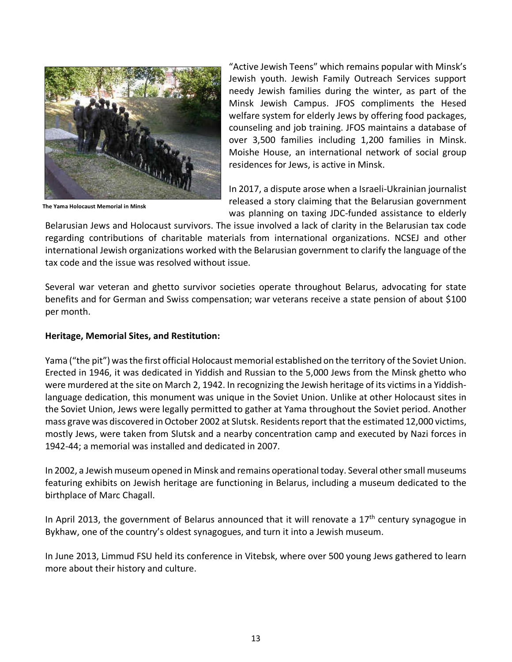

**The Yama Holocaust Memorial in Minsk**

"Active Jewish Teens" which remains popular with Minsk's Jewish youth. Jewish Family Outreach Services support needy Jewish families during the winter, as part of the Minsk Jewish Campus. JFOS compliments the Hesed welfare system for elderly Jews by offering food packages, counseling and job training. JFOS maintains a database of over 3,500 families including 1,200 families in Minsk. Moishe House, an international network of social group residences for Jews, is active in Minsk.

In 2017, a dispute arose when a Israeli-Ukrainian journalist released a story claiming that the Belarusian government was planning on taxing JDC-funded assistance to elderly

Belarusian Jews and Holocaust survivors. The issue involved a lack of clarity in the Belarusian tax code regarding contributions of charitable materials from international organizations. NCSEJ and other international Jewish organizations worked with the Belarusian government to clarify the language of the tax code and the issue was resolved without issue.

Several war veteran and ghetto survivor societies operate throughout Belarus, advocating for state benefits and for German and Swiss compensation; war veterans receive a state pension of about \$100 per month.

# **Heritage, Memorial Sites, and Restitution:**

Yama ("the pit") was the first official Holocaust memorial established on the territory of the Soviet Union. Erected in 1946, it was dedicated in Yiddish and Russian to the 5,000 Jews from the Minsk ghetto who were murdered at the site on March 2, 1942. In recognizing the Jewish heritage of its victims in a Yiddishlanguage dedication, this monument was unique in the Soviet Union. Unlike at other Holocaust sites in the Soviet Union, Jews were legally permitted to gather at Yama throughout the Soviet period. Another mass grave was discovered in October 2002 at Slutsk. Residents report that the estimated 12,000 victims, mostly Jews, were taken from Slutsk and a nearby concentration camp and executed by Nazi forces in 1942-44; a memorial was installed and dedicated in 2007.

In 2002, a Jewish museum opened in Minsk and remains operational today. Several other small museums featuring exhibits on Jewish heritage are functioning in Belarus, including a museum dedicated to the birthplace of Marc Chagall.

In April 2013, the government of Belarus announced that it will renovate a  $17<sup>th</sup>$  century synagogue in Bykhaw, one of the country's oldest synagogues, and turn it into a Jewish museum.

In June 2013, Limmud FSU held its conference in Vitebsk, where over 500 young Jews gathered to learn more about their history and culture.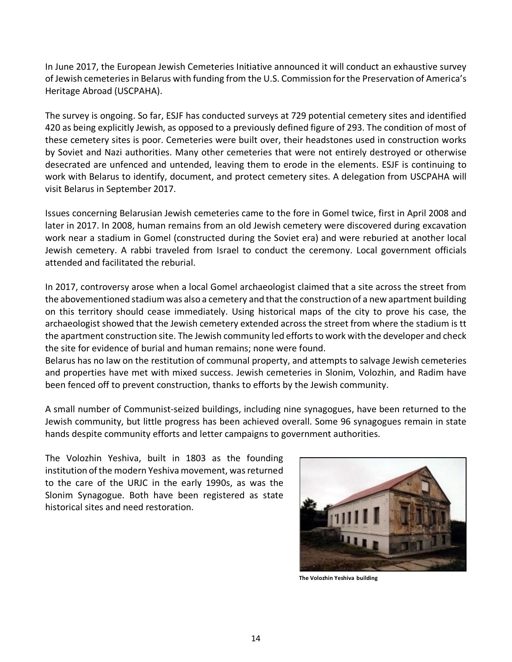In June 2017, the European Jewish Cemeteries Initiative announced it will conduct an exhaustive survey of Jewish cemeteries in Belarus with funding from the U.S. Commission for the Preservation of America's Heritage Abroad (USCPAHA).

The survey is ongoing. So far, ESJF has conducted surveys at 729 potential cemetery sites and identified 420 as being explicitly Jewish, as opposed to a previously defined figure of 293. The condition of most of these cemetery sites is poor. Cemeteries were built over, their headstones used in construction works by Soviet and Nazi authorities. Many other cemeteries that were not entirely destroyed or otherwise desecrated are unfenced and untended, leaving them to erode in the elements. ESJF is continuing to work with Belarus to identify, document, and protect cemetery sites. A delegation from USCPAHA will visit Belarus in September 2017.

Issues concerning Belarusian Jewish cemeteries came to the fore in Gomel twice, first in April 2008 and later in 2017. In 2008, human remains from an old Jewish cemetery were discovered during excavation work near a stadium in Gomel (constructed during the Soviet era) and were reburied at another local Jewish cemetery. A rabbi traveled from Israel to conduct the ceremony. Local government officials attended and facilitated the reburial.

In 2017, controversy arose when a local Gomel archaeologist claimed that a site across the street from the abovementioned stadium was also a cemetery and that the construction of a new apartment building on this territory should cease immediately. Using historical maps of the city to prove his case, the archaeologist showed that the Jewish cemetery extended across the street from where the stadium is tt the apartment construction site. The Jewish community led efforts to work with the developer and check the site for evidence of burial and human remains; none were found.

Belarus has no law on the restitution of communal property, and attempts to salvage Jewish cemeteries and properties have met with mixed success. Jewish cemeteries in Slonim, Volozhin, and Radim have been fenced off to prevent construction, thanks to efforts by the Jewish community.

A small number of Communist-seized buildings, including nine synagogues, have been returned to the Jewish community, but little progress has been achieved overall. Some 96 synagogues remain in state hands despite community efforts and letter campaigns to government authorities.

The Volozhin Yeshiva, built in 1803 as the founding institution of the modern Yeshiva movement, was returned to the care of the URJC in the early 1990s, as was the Slonim Synagogue. Both have been registered as state historical sites and need restoration.



**The Volozhin Yeshiva building**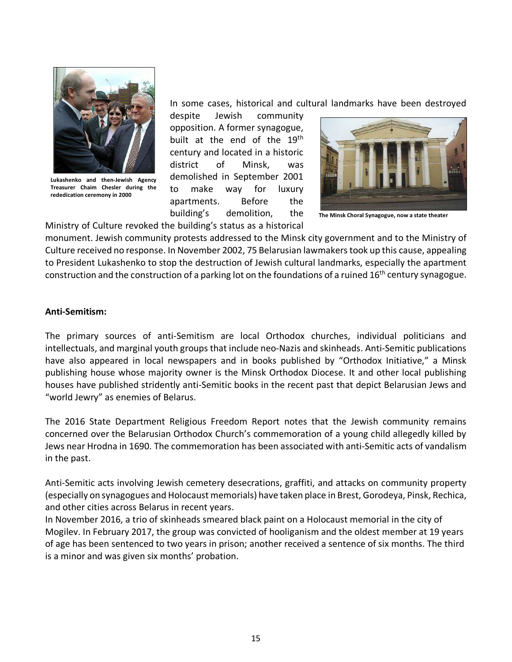

**Lukashenko and then-Jewish Agency Treasurer Chaim Chesler during the rededication ceremony in 2000**

In some cases, historical and cultural landmarks have been destroyed

despite Jewish community opposition. A former synagogue, built at the end of the 19<sup>th</sup> century and located in a historic district of Minsk, was demolished in September 2001 to make way for luxury apartments. Before the building's demolition, the



**The Minsk Choral Synagogue, now a state theater**

Ministry of Culture revoked the building's status as a historical

monument. Jewish community protests addressed to the Minsk city government and to the Ministry of Culture received no response. In November 2002, 75 Belarusian lawmakers took up this cause, appealing to President Lukashenko to stop the destruction of Jewish cultural landmarks, especially the apartment construction and the construction of a parking lot on the foundations of a ruined  $16<sup>th</sup>$  century synagogue.

# **Anti-Semitism:**

The primary sources of anti-Semitism are local Orthodox churches, individual politicians and intellectuals, and marginal youth groups that include neo-Nazis and skinheads. Anti-Semitic publications have also appeared in local newspapers and in books published by "Orthodox Initiative," a Minsk publishing house whose majority owner is the Minsk Orthodox Diocese. It and other local publishing houses have published stridently anti-Semitic books in the recent past that depict Belarusian Jews and "world Jewry" as enemies of Belarus.

The 2016 State Department Religious Freedom Report notes that the Jewish community remains concerned over the Belarusian Orthodox Church's commemoration of a young child allegedly killed by Jews near Hrodna in 1690. The commemoration has been associated with anti-Semitic acts of vandalism in the past.

Anti-Semitic acts involving Jewish cemetery desecrations, graffiti, and attacks on community property (especially on synagogues and Holocaust memorials) have taken place in Brest, Gorodeya, Pinsk, Rechica, and other cities across Belarus in recent years.

In November 2016, a trio of skinheads smeared black paint on a Holocaust memorial in the city of Mogilev. In February 2017, the group was convicted of hooliganism and the oldest member at 19 years of age has been sentenced to two years in prison; another received a sentence of six months. The third is a minor and was given six months' probation.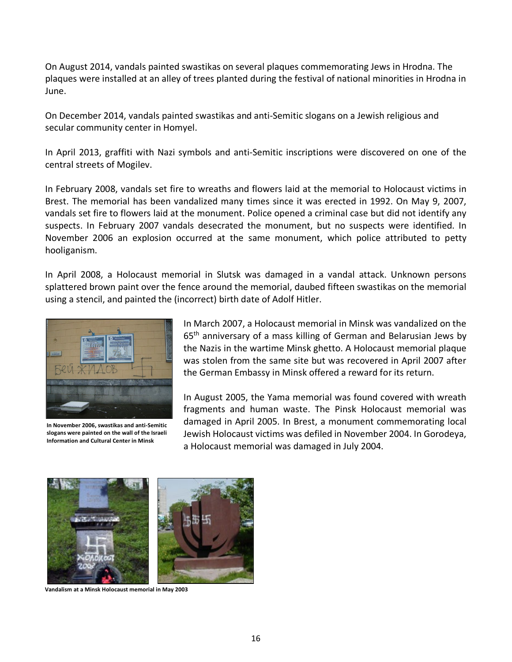On August 2014, vandals painted swastikas on several plaques commemorating Jews in Hrodna. The plaques were installed at an alley of trees planted during the festival of national minorities in Hrodna in June.

On December 2014, vandals painted swastikas and anti-Semitic slogans on a Jewish religious and secular community center in Homyel.

In April 2013, graffiti with Nazi symbols and anti-Semitic inscriptions were discovered on one of the central streets of Mogilev.

In February 2008, vandals set fire to wreaths and flowers laid at the memorial to Holocaust victims in Brest. The memorial has been vandalized many times since it was erected in 1992. On May 9, 2007, vandals set fire to flowers laid at the monument. Police opened a criminal case but did not identify any suspects. In February 2007 vandals desecrated the monument, but no suspects were identified. In November 2006 an explosion occurred at the same monument, which police attributed to petty hooliganism.

In April 2008, a Holocaust memorial in Slutsk was damaged in a vandal attack. Unknown persons splattered brown paint over the fence around the memorial, daubed fifteen swastikas on the memorial using a stencil, and painted the (incorrect) birth date of Adolf Hitler.



**In November 2006, swastikas and anti-Semitic slogans were painted on the wall of the Israeli Information and Cultural Center in Minsk**

In March 2007, a Holocaust memorial in Minsk was vandalized on the 65th anniversary of a mass killing of German and Belarusian Jews by the Nazis in the wartime Minsk ghetto. A Holocaust memorial plaque was stolen from the same site but was recovered in April 2007 after the German Embassy in Minsk offered a reward for its return.

In August 2005, the Yama memorial was found covered with wreath fragments and human waste. The Pinsk Holocaust memorial was damaged in April 2005. In Brest, a monument commemorating local Jewish Holocaust victims was defiled in November 2004. In Gorodeya, a Holocaust memorial was damaged in July 2004.



**Vandalism at a Minsk Holocaust memorial in May 2003**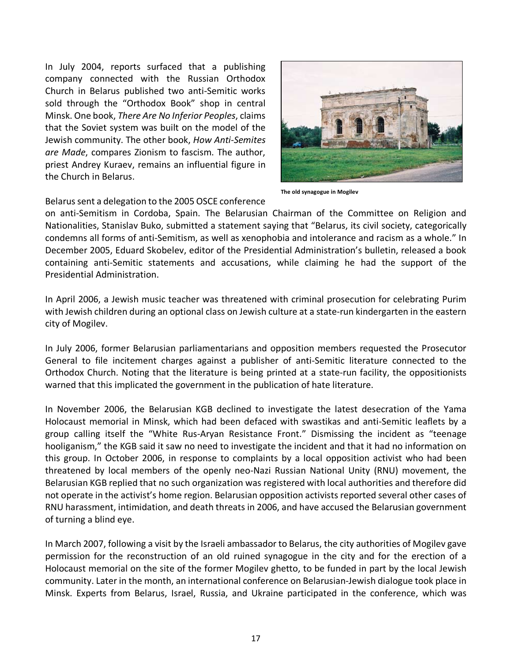In July 2004, reports surfaced that a publishing company connected with the Russian Orthodox Church in Belarus published two anti-Semitic works sold through the "Orthodox Book" shop in central Minsk. One book, *There Are No Inferior Peoples*, claims that the Soviet system was built on the model of the Jewish community. The other book, *How Anti-Semites are Made*, compares Zionism to fascism. The author, priest Andrey Kuraev, remains an influential figure in the Church in Belarus.



**The old synagogue in Mogilev**

#### Belarus sent a delegation to the 2005 OSCE conference

on anti-Semitism in Cordoba, Spain. The Belarusian Chairman of the Committee on Religion and Nationalities, Stanislav Buko, submitted a statement saying that "Belarus, its civil society, categorically condemns all forms of anti-Semitism, as well as xenophobia and intolerance and racism as a whole." In December 2005, Eduard Skobelev, editor of the Presidential Administration's bulletin, released a book containing anti-Semitic statements and accusations, while claiming he had the support of the Presidential Administration.

In April 2006, a Jewish music teacher was threatened with criminal prosecution for celebrating Purim with Jewish children during an optional class on Jewish culture at a state-run kindergarten in the eastern city of Mogilev.

In July 2006, former Belarusian parliamentarians and opposition members requested the Prosecutor General to file incitement charges against a publisher of anti-Semitic literature connected to the Orthodox Church. Noting that the literature is being printed at a state-run facility, the oppositionists warned that this implicated the government in the publication of hate literature.

In November 2006, the Belarusian KGB declined to investigate the latest desecration of the Yama Holocaust memorial in Minsk, which had been defaced with swastikas and anti-Semitic leaflets by a group calling itself the "White Rus-Aryan Resistance Front." Dismissing the incident as "teenage hooliganism," the KGB said it saw no need to investigate the incident and that it had no information on this group. In October 2006, in response to complaints by a local opposition activist who had been threatened by local members of the openly neo-Nazi Russian National Unity (RNU) movement, the Belarusian KGB replied that no such organization was registered with local authorities and therefore did not operate in the activist's home region. Belarusian opposition activists reported several other cases of RNU harassment, intimidation, and death threats in 2006, and have accused the Belarusian government of turning a blind eye.

In March 2007, following a visit by the Israeli ambassador to Belarus, the city authorities of Mogilev gave permission for the reconstruction of an old ruined synagogue in the city and for the erection of a Holocaust memorial on the site of the former Mogilev ghetto, to be funded in part by the local Jewish community. Later in the month, an international conference on Belarusian-Jewish dialogue took place in Minsk. Experts from Belarus, Israel, Russia, and Ukraine participated in the conference, which was